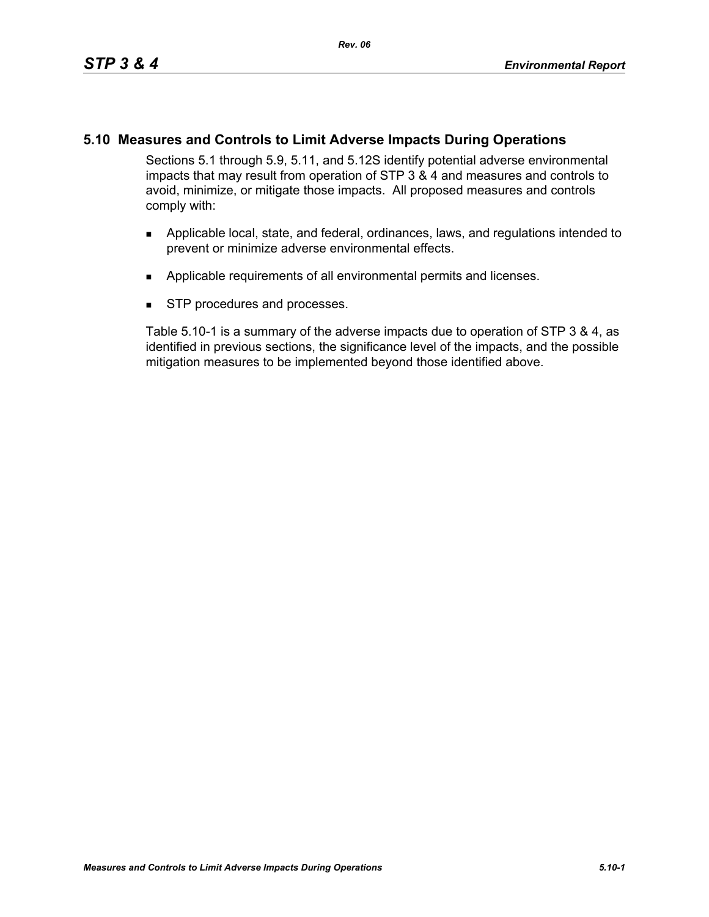# **5.10 Measures and Controls to Limit Adverse Impacts During Operations**

Sections 5.1 through 5.9, 5.11, and 5.12S identify potential adverse environmental impacts that may result from operation of STP 3 & 4 and measures and controls to avoid, minimize, or mitigate those impacts. All proposed measures and controls comply with:

- **Applicable local, state, and federal, ordinances, laws, and regulations intended to** prevent or minimize adverse environmental effects.
- **Applicable requirements of all environmental permits and licenses.**
- **STP** procedures and processes.

Table 5.10-1 is a summary of the adverse impacts due to operation of STP 3 & 4, as identified in previous sections, the significance level of the impacts, and the possible mitigation measures to be implemented beyond those identified above.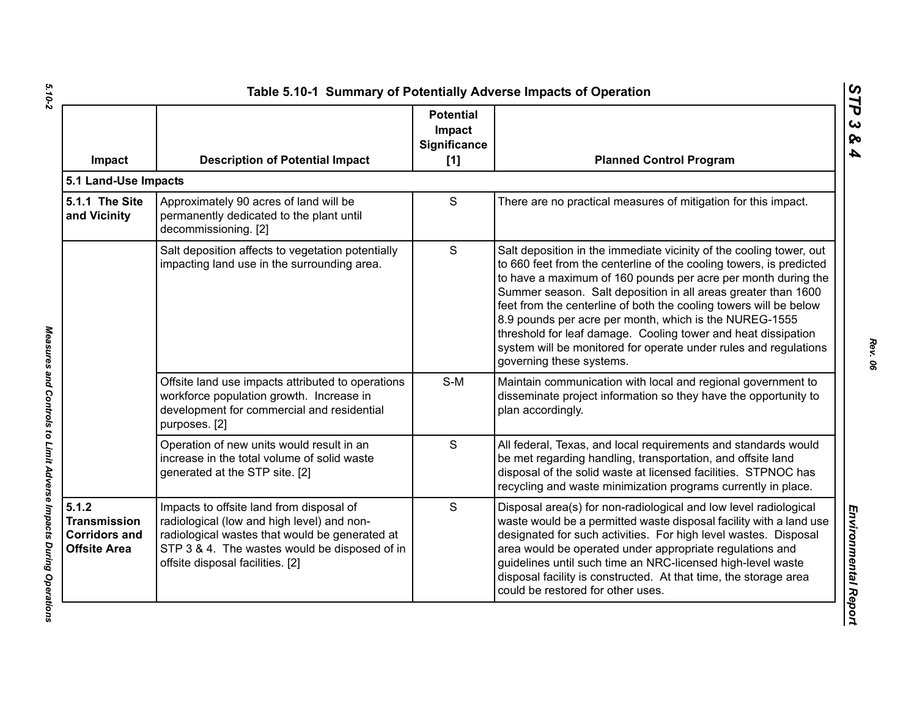| Impact                                                                      | <b>Description of Potential Impact</b>                                                                                                                                                                                        | <b>Potential</b><br>Impact<br><b>Significance</b><br>[1] | <b>Planned Control Program</b>                                                                                                                                                                                                                                                                                                                                                                                                                                                                                                                                               |
|-----------------------------------------------------------------------------|-------------------------------------------------------------------------------------------------------------------------------------------------------------------------------------------------------------------------------|----------------------------------------------------------|------------------------------------------------------------------------------------------------------------------------------------------------------------------------------------------------------------------------------------------------------------------------------------------------------------------------------------------------------------------------------------------------------------------------------------------------------------------------------------------------------------------------------------------------------------------------------|
| 5.1 Land-Use Impacts                                                        |                                                                                                                                                                                                                               |                                                          |                                                                                                                                                                                                                                                                                                                                                                                                                                                                                                                                                                              |
| 5.1.1 The Site<br>and Vicinity                                              | Approximately 90 acres of land will be<br>permanently dedicated to the plant until<br>decommissioning. [2]                                                                                                                    | $\mathsf S$                                              | There are no practical measures of mitigation for this impact.                                                                                                                                                                                                                                                                                                                                                                                                                                                                                                               |
|                                                                             | Salt deposition affects to vegetation potentially<br>impacting land use in the surrounding area.                                                                                                                              | $\mathsf{S}$                                             | Salt deposition in the immediate vicinity of the cooling tower, out<br>to 660 feet from the centerline of the cooling towers, is predicted<br>to have a maximum of 160 pounds per acre per month during the<br>Summer season. Salt deposition in all areas greater than 1600<br>feet from the centerline of both the cooling towers will be below<br>8.9 pounds per acre per month, which is the NUREG-1555<br>threshold for leaf damage. Cooling tower and heat dissipation<br>system will be monitored for operate under rules and regulations<br>governing these systems. |
|                                                                             | Offsite land use impacts attributed to operations<br>workforce population growth. Increase in<br>development for commercial and residential<br>purposes. [2]                                                                  | $S-M$                                                    | Maintain communication with local and regional government to<br>disseminate project information so they have the opportunity to<br>plan accordingly.                                                                                                                                                                                                                                                                                                                                                                                                                         |
|                                                                             | Operation of new units would result in an<br>increase in the total volume of solid waste<br>generated at the STP site. [2]                                                                                                    | $\mathsf{S}$                                             | All federal, Texas, and local requirements and standards would<br>be met regarding handling, transportation, and offsite land<br>disposal of the solid waste at licensed facilities. STPNOC has<br>recycling and waste minimization programs currently in place.                                                                                                                                                                                                                                                                                                             |
| 5.1.2<br><b>Transmission</b><br><b>Corridors and</b><br><b>Offsite Area</b> | Impacts to offsite land from disposal of<br>radiological (low and high level) and non-<br>radiological wastes that would be generated at<br>STP 3 & 4. The wastes would be disposed of in<br>offsite disposal facilities. [2] | S                                                        | Disposal area(s) for non-radiological and low level radiological<br>waste would be a permitted waste disposal facility with a land use<br>designated for such activities. For high level wastes. Disposal<br>area would be operated under appropriate regulations and<br>guidelines until such time an NRC-licensed high-level waste<br>disposal facility is constructed. At that time, the storage area<br>could be restored for other uses.                                                                                                                                |

Measures and Controls to Limit Adverse Impacts During Operations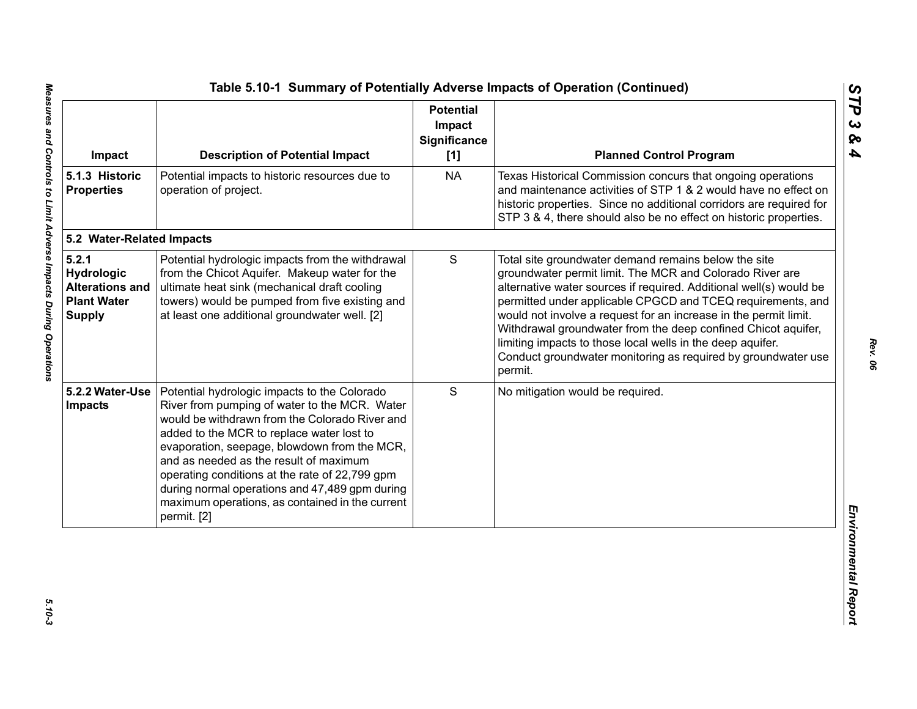| Impact                                                                               | <b>Description of Potential Impact</b>                                                                                                                                                                                                                                                                                                                                                                                                                       | <b>Potential</b><br>Impact<br>Significance<br>[1] | <b>Planned Control Program</b>                                                                                                                                                                                                                                                                                                                                                                                                                                                                                                       |
|--------------------------------------------------------------------------------------|--------------------------------------------------------------------------------------------------------------------------------------------------------------------------------------------------------------------------------------------------------------------------------------------------------------------------------------------------------------------------------------------------------------------------------------------------------------|---------------------------------------------------|--------------------------------------------------------------------------------------------------------------------------------------------------------------------------------------------------------------------------------------------------------------------------------------------------------------------------------------------------------------------------------------------------------------------------------------------------------------------------------------------------------------------------------------|
| 5.1.3 Historic<br><b>Properties</b>                                                  | Potential impacts to historic resources due to<br>operation of project.                                                                                                                                                                                                                                                                                                                                                                                      | <b>NA</b>                                         | Texas Historical Commission concurs that ongoing operations<br>and maintenance activities of STP 1 & 2 would have no effect on<br>historic properties. Since no additional corridors are required for<br>STP 3 & 4, there should also be no effect on historic properties.                                                                                                                                                                                                                                                           |
| 5.2 Water-Related Impacts                                                            |                                                                                                                                                                                                                                                                                                                                                                                                                                                              |                                                   |                                                                                                                                                                                                                                                                                                                                                                                                                                                                                                                                      |
| 5.2.1<br>Hydrologic<br><b>Alterations and</b><br><b>Plant Water</b><br><b>Supply</b> | Potential hydrologic impacts from the withdrawal<br>from the Chicot Aquifer. Makeup water for the<br>ultimate heat sink (mechanical draft cooling<br>towers) would be pumped from five existing and<br>at least one additional groundwater well. [2]                                                                                                                                                                                                         | S                                                 | Total site groundwater demand remains below the site<br>groundwater permit limit. The MCR and Colorado River are<br>alternative water sources if required. Additional well(s) would be<br>permitted under applicable CPGCD and TCEQ requirements, and<br>would not involve a request for an increase in the permit limit.<br>Withdrawal groundwater from the deep confined Chicot aquifer,<br>limiting impacts to those local wells in the deep aquifer.<br>Conduct groundwater monitoring as required by groundwater use<br>permit. |
| 5.2.2 Water-Use<br>Impacts                                                           | Potential hydrologic impacts to the Colorado<br>River from pumping of water to the MCR. Water<br>would be withdrawn from the Colorado River and<br>added to the MCR to replace water lost to<br>evaporation, seepage, blowdown from the MCR,<br>and as needed as the result of maximum<br>operating conditions at the rate of 22,799 gpm<br>during normal operations and 47,489 gpm during<br>maximum operations, as contained in the current<br>permit. [2] | S                                                 | No mitigation would be required.                                                                                                                                                                                                                                                                                                                                                                                                                                                                                                     |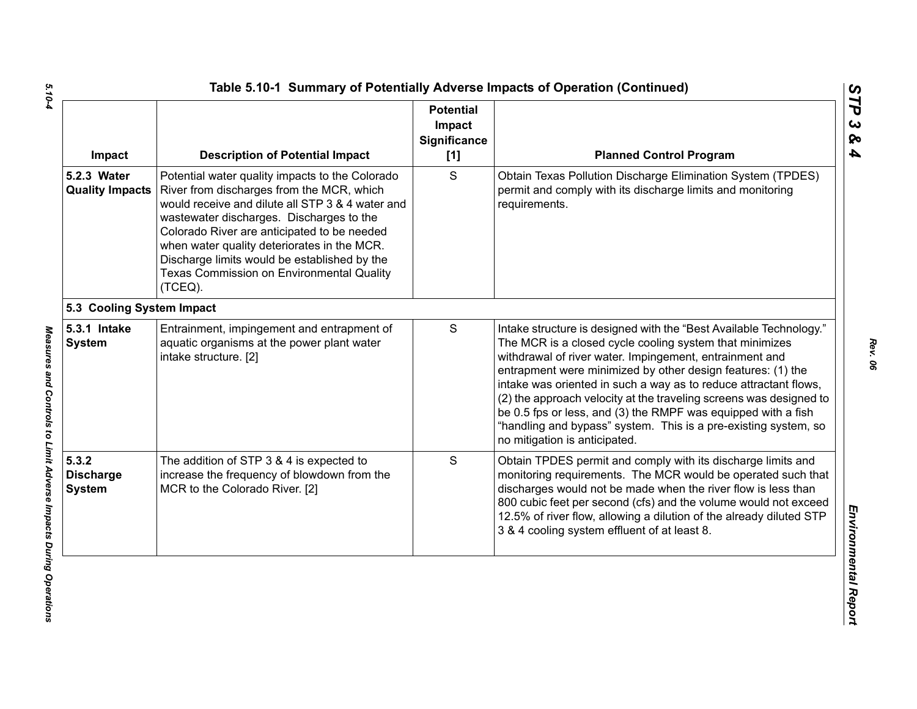| Impact                                     | <b>Description of Potential Impact</b>                                                                                                                                                                                                                                                                                                                                                             | <b>Potential</b><br>Impact<br>Significance<br>$[1]$ | <b>Planned Control Program</b>                                                                                                                                                                                                                                                                                                                                                                                                                                                                                                                                         |
|--------------------------------------------|----------------------------------------------------------------------------------------------------------------------------------------------------------------------------------------------------------------------------------------------------------------------------------------------------------------------------------------------------------------------------------------------------|-----------------------------------------------------|------------------------------------------------------------------------------------------------------------------------------------------------------------------------------------------------------------------------------------------------------------------------------------------------------------------------------------------------------------------------------------------------------------------------------------------------------------------------------------------------------------------------------------------------------------------------|
| 5.2.3 Water<br><b>Quality Impacts</b>      | Potential water quality impacts to the Colorado<br>River from discharges from the MCR, which<br>would receive and dilute all STP 3 & 4 water and<br>wastewater discharges. Discharges to the<br>Colorado River are anticipated to be needed<br>when water quality deteriorates in the MCR.<br>Discharge limits would be established by the<br>Texas Commission on Environmental Quality<br>(TCEQ). | S                                                   | Obtain Texas Pollution Discharge Elimination System (TPDES)<br>permit and comply with its discharge limits and monitoring<br>requirements.                                                                                                                                                                                                                                                                                                                                                                                                                             |
| 5.3 Cooling System Impact                  |                                                                                                                                                                                                                                                                                                                                                                                                    |                                                     |                                                                                                                                                                                                                                                                                                                                                                                                                                                                                                                                                                        |
| 5.3.1 Intake<br><b>System</b>              | Entrainment, impingement and entrapment of<br>aquatic organisms at the power plant water<br>intake structure. [2]                                                                                                                                                                                                                                                                                  | S                                                   | Intake structure is designed with the "Best Available Technology."<br>The MCR is a closed cycle cooling system that minimizes<br>withdrawal of river water. Impingement, entrainment and<br>entrapment were minimized by other design features: (1) the<br>intake was oriented in such a way as to reduce attractant flows,<br>(2) the approach velocity at the traveling screens was designed to<br>be 0.5 fps or less, and (3) the RMPF was equipped with a fish<br>"handling and bypass" system. This is a pre-existing system, so<br>no mitigation is anticipated. |
| 5.3.2<br><b>Discharge</b><br><b>System</b> | The addition of STP 3 & 4 is expected to<br>increase the frequency of blowdown from the<br>MCR to the Colorado River. [2]                                                                                                                                                                                                                                                                          | S                                                   | Obtain TPDES permit and comply with its discharge limits and<br>monitoring requirements. The MCR would be operated such that<br>discharges would not be made when the river flow is less than<br>800 cubic feet per second (cfs) and the volume would not exceed<br>12.5% of river flow, allowing a dilution of the already diluted STP<br>3 & 4 cooling system effluent of at least 8.                                                                                                                                                                                |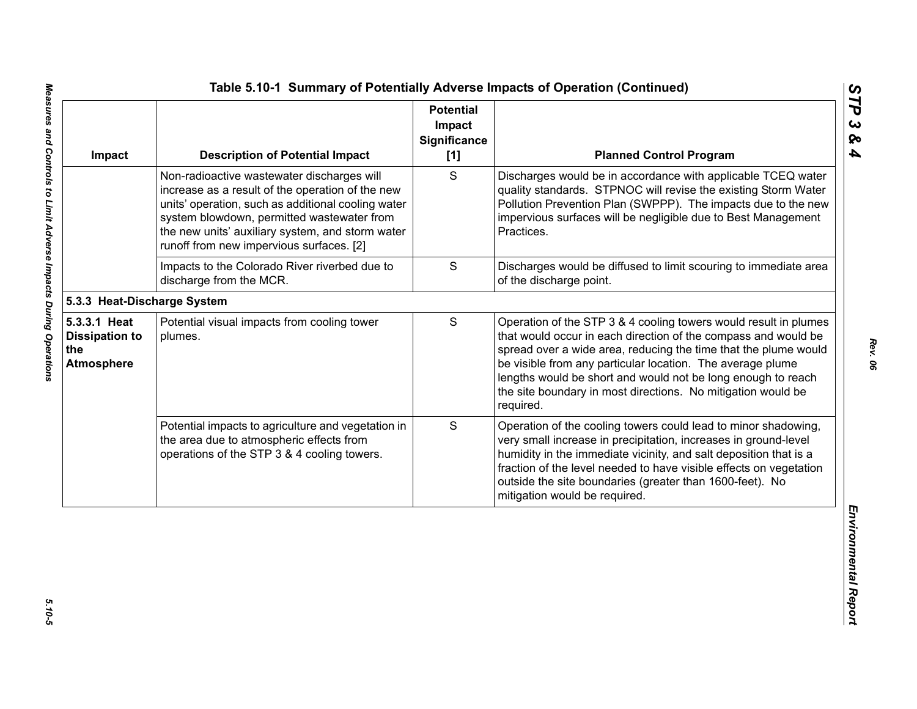| Impact                                                            | <b>Description of Potential Impact</b>                                                                                                                                                                                                                                                             | <b>Potential</b><br>Impact<br><b>Significance</b><br>[1] | <b>Planned Control Program</b>                                                                                                                                                                                                                                                                                                                                                                                   |
|-------------------------------------------------------------------|----------------------------------------------------------------------------------------------------------------------------------------------------------------------------------------------------------------------------------------------------------------------------------------------------|----------------------------------------------------------|------------------------------------------------------------------------------------------------------------------------------------------------------------------------------------------------------------------------------------------------------------------------------------------------------------------------------------------------------------------------------------------------------------------|
|                                                                   | Non-radioactive wastewater discharges will<br>increase as a result of the operation of the new<br>units' operation, such as additional cooling water<br>system blowdown, permitted wastewater from<br>the new units' auxiliary system, and storm water<br>runoff from new impervious surfaces. [2] | S                                                        | Discharges would be in accordance with applicable TCEQ water<br>quality standards. STPNOC will revise the existing Storm Water<br>Pollution Prevention Plan (SWPPP). The impacts due to the new<br>impervious surfaces will be negligible due to Best Management<br>Practices.                                                                                                                                   |
|                                                                   | Impacts to the Colorado River riverbed due to<br>discharge from the MCR.                                                                                                                                                                                                                           | $\mathbf S$                                              | Discharges would be diffused to limit scouring to immediate area<br>of the discharge point.                                                                                                                                                                                                                                                                                                                      |
| 5.3.3 Heat-Discharge System                                       |                                                                                                                                                                                                                                                                                                    |                                                          |                                                                                                                                                                                                                                                                                                                                                                                                                  |
| 5.3.3.1 Heat<br><b>Dissipation to</b><br>the<br><b>Atmosphere</b> | Potential visual impacts from cooling tower<br>plumes.                                                                                                                                                                                                                                             | S                                                        | Operation of the STP 3 & 4 cooling towers would result in plumes<br>that would occur in each direction of the compass and would be<br>spread over a wide area, reducing the time that the plume would<br>be visible from any particular location. The average plume<br>lengths would be short and would not be long enough to reach<br>the site boundary in most directions. No mitigation would be<br>required. |
|                                                                   | Potential impacts to agriculture and vegetation in<br>the area due to atmospheric effects from<br>operations of the STP 3 & 4 cooling towers.                                                                                                                                                      | S                                                        | Operation of the cooling towers could lead to minor shadowing,<br>very small increase in precipitation, increases in ground-level<br>humidity in the immediate vicinity, and salt deposition that is a<br>fraction of the level needed to have visible effects on vegetation<br>outside the site boundaries (greater than 1600-feet). No<br>mitigation would be required.                                        |

 $5.10 - 5$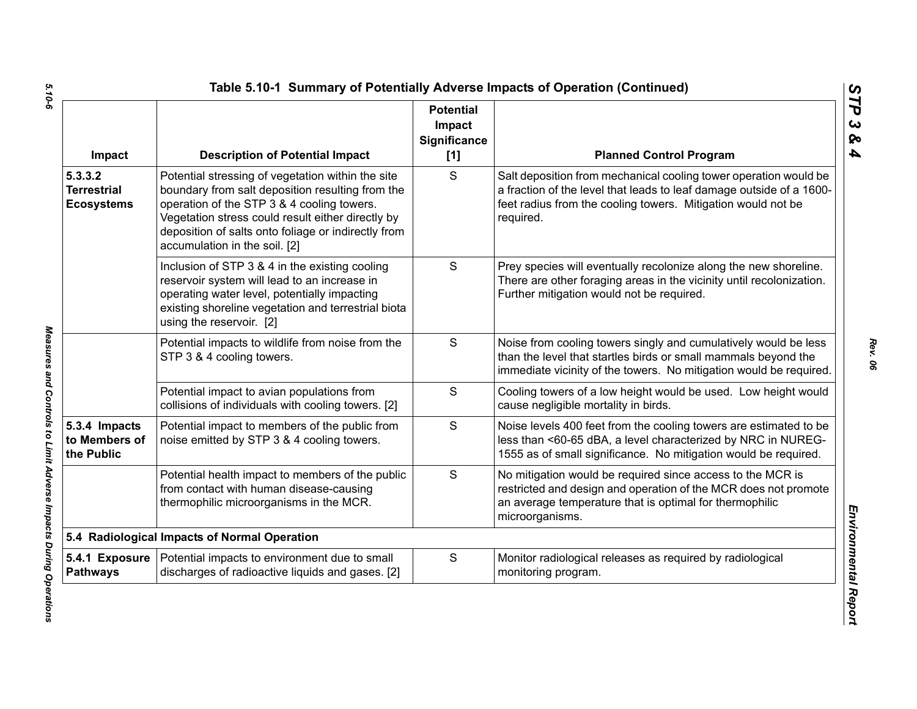| Impact                                             | <b>Description of Potential Impact</b>                                                                                                                                                                                                                                                           | <b>Potential</b><br>Impact<br>Significance<br>$[1]$ | <b>Planned Control Program</b>                                                                                                                                                                                        |
|----------------------------------------------------|--------------------------------------------------------------------------------------------------------------------------------------------------------------------------------------------------------------------------------------------------------------------------------------------------|-----------------------------------------------------|-----------------------------------------------------------------------------------------------------------------------------------------------------------------------------------------------------------------------|
| 5.3.3.2<br><b>Terrestrial</b><br><b>Ecosystems</b> | Potential stressing of vegetation within the site<br>boundary from salt deposition resulting from the<br>operation of the STP 3 & 4 cooling towers.<br>Vegetation stress could result either directly by<br>deposition of salts onto foliage or indirectly from<br>accumulation in the soil. [2] | S                                                   | Salt deposition from mechanical cooling tower operation would be<br>a fraction of the level that leads to leaf damage outside of a 1600-<br>feet radius from the cooling towers. Mitigation would not be<br>required. |
|                                                    | Inclusion of STP 3 & 4 in the existing cooling<br>reservoir system will lead to an increase in<br>operating water level, potentially impacting<br>existing shoreline vegetation and terrestrial biota<br>using the reservoir. [2]                                                                | $\mathbf S$                                         | Prey species will eventually recolonize along the new shoreline.<br>There are other foraging areas in the vicinity until recolonization.<br>Further mitigation would not be required.                                 |
|                                                    | Potential impacts to wildlife from noise from the<br>STP 3 & 4 cooling towers.                                                                                                                                                                                                                   | $\mathbf S$                                         | Noise from cooling towers singly and cumulatively would be less<br>than the level that startles birds or small mammals beyond the<br>immediate vicinity of the towers. No mitigation would be required.               |
|                                                    | Potential impact to avian populations from<br>collisions of individuals with cooling towers. [2]                                                                                                                                                                                                 | S                                                   | Cooling towers of a low height would be used. Low height would<br>cause negligible mortality in birds.                                                                                                                |
| 5.3.4 Impacts<br>to Members of<br>the Public       | Potential impact to members of the public from<br>noise emitted by STP 3 & 4 cooling towers.                                                                                                                                                                                                     | $\mathbf S$                                         | Noise levels 400 feet from the cooling towers are estimated to be<br>less than <60-65 dBA, a level characterized by NRC in NUREG-<br>1555 as of small significance. No mitigation would be required.                  |
|                                                    | Potential health impact to members of the public<br>from contact with human disease-causing<br>thermophilic microorganisms in the MCR.                                                                                                                                                           | S                                                   | No mitigation would be required since access to the MCR is<br>restricted and design and operation of the MCR does not promote<br>an average temperature that is optimal for thermophilic<br>microorganisms.           |
|                                                    | 5.4 Radiological Impacts of Normal Operation                                                                                                                                                                                                                                                     |                                                     |                                                                                                                                                                                                                       |
| 5.4.1 Exposure<br><b>Pathways</b>                  | Potential impacts to environment due to small<br>discharges of radioactive liquids and gases. [2]                                                                                                                                                                                                | $\mathbf S$                                         | Monitor radiological releases as required by radiological<br>monitoring program.                                                                                                                                      |

Measures and Controls to Limit Adverse Impacts During Operations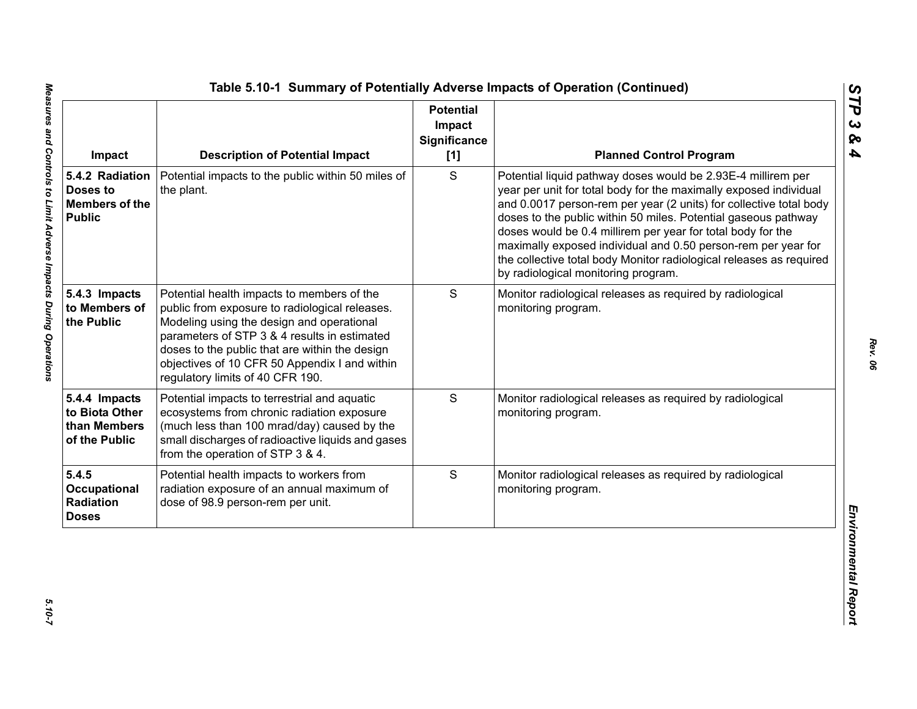| Impact                                                                | <b>Description of Potential Impact</b>                                                                                                                                                                                                                                                                                           | <b>Potential</b><br>Impact<br>Significance<br>[1] | <b>Planned Control Program</b>                                                                                                                                                                                                                                                                                                                                                                                                                                                                                          |
|-----------------------------------------------------------------------|----------------------------------------------------------------------------------------------------------------------------------------------------------------------------------------------------------------------------------------------------------------------------------------------------------------------------------|---------------------------------------------------|-------------------------------------------------------------------------------------------------------------------------------------------------------------------------------------------------------------------------------------------------------------------------------------------------------------------------------------------------------------------------------------------------------------------------------------------------------------------------------------------------------------------------|
| 5.4.2 Radiation<br>Doses to<br><b>Members of the</b><br><b>Public</b> | Potential impacts to the public within 50 miles of<br>the plant.                                                                                                                                                                                                                                                                 | S                                                 | Potential liquid pathway doses would be 2.93E-4 millirem per<br>year per unit for total body for the maximally exposed individual<br>and 0.0017 person-rem per year (2 units) for collective total body<br>doses to the public within 50 miles. Potential gaseous pathway<br>doses would be 0.4 millirem per year for total body for the<br>maximally exposed individual and 0.50 person-rem per year for<br>the collective total body Monitor radiological releases as required<br>by radiological monitoring program. |
| 5.4.3 Impacts<br>to Members of<br>the Public                          | Potential health impacts to members of the<br>public from exposure to radiological releases.<br>Modeling using the design and operational<br>parameters of STP 3 & 4 results in estimated<br>doses to the public that are within the design<br>objectives of 10 CFR 50 Appendix I and within<br>regulatory limits of 40 CFR 190. | S                                                 | Monitor radiological releases as required by radiological<br>monitoring program.                                                                                                                                                                                                                                                                                                                                                                                                                                        |
| 5.4.4 Impacts<br>to Biota Other<br>than Members<br>of the Public      | Potential impacts to terrestrial and aquatic<br>ecosystems from chronic radiation exposure<br>(much less than 100 mrad/day) caused by the<br>small discharges of radioactive liquids and gases<br>from the operation of STP 3 & 4.                                                                                               | S                                                 | Monitor radiological releases as required by radiological<br>monitoring program.                                                                                                                                                                                                                                                                                                                                                                                                                                        |
| 5.4.5<br>Occupational<br>Radiation<br><b>Doses</b>                    | Potential health impacts to workers from<br>radiation exposure of an annual maximum of<br>dose of 98.9 person-rem per unit.                                                                                                                                                                                                      | S                                                 | Monitor radiological releases as required by radiological<br>monitoring program.                                                                                                                                                                                                                                                                                                                                                                                                                                        |

*STP 3 & 4*

 $5.10 - 7$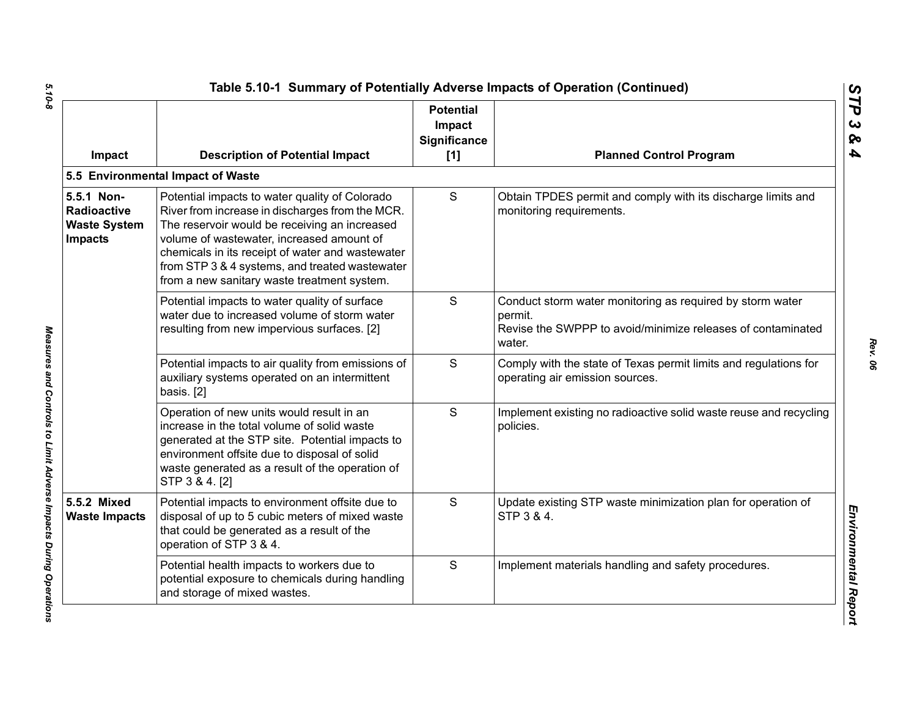| Impact                                                                    | <b>Description of Potential Impact</b>                                                                                                                                                                                                                                                                                                               | <b>Potential</b><br>Impact<br>Significance<br>[1] | <b>Planned Control Program</b>                                                                                                                |
|---------------------------------------------------------------------------|------------------------------------------------------------------------------------------------------------------------------------------------------------------------------------------------------------------------------------------------------------------------------------------------------------------------------------------------------|---------------------------------------------------|-----------------------------------------------------------------------------------------------------------------------------------------------|
|                                                                           | 5.5 Environmental Impact of Waste                                                                                                                                                                                                                                                                                                                    |                                                   |                                                                                                                                               |
| 5.5.1 Non-<br><b>Radioactive</b><br><b>Waste System</b><br><b>Impacts</b> | Potential impacts to water quality of Colorado<br>River from increase in discharges from the MCR.<br>The reservoir would be receiving an increased<br>volume of wastewater, increased amount of<br>chemicals in its receipt of water and wastewater<br>from STP 3 & 4 systems, and treated wastewater<br>from a new sanitary waste treatment system. | S                                                 | Obtain TPDES permit and comply with its discharge limits and<br>monitoring requirements.                                                      |
|                                                                           | Potential impacts to water quality of surface<br>water due to increased volume of storm water<br>resulting from new impervious surfaces. [2]                                                                                                                                                                                                         | S                                                 | Conduct storm water monitoring as required by storm water<br>permit.<br>Revise the SWPPP to avoid/minimize releases of contaminated<br>water. |
|                                                                           | Potential impacts to air quality from emissions of<br>auxiliary systems operated on an intermittent<br>basis. [2]                                                                                                                                                                                                                                    | S                                                 | Comply with the state of Texas permit limits and regulations for<br>operating air emission sources.                                           |
|                                                                           | Operation of new units would result in an<br>increase in the total volume of solid waste<br>generated at the STP site. Potential impacts to<br>environment offsite due to disposal of solid<br>waste generated as a result of the operation of<br>STP 3 & 4. [2]                                                                                     | S                                                 | Implement existing no radioactive solid waste reuse and recycling<br>policies.                                                                |
| 5.5.2 Mixed<br><b>Waste Impacts</b>                                       | Potential impacts to environment offsite due to<br>disposal of up to 5 cubic meters of mixed waste<br>that could be generated as a result of the<br>operation of STP 3 & 4.                                                                                                                                                                          | S                                                 | Update existing STP waste minimization plan for operation of<br>STP 3 & 4.                                                                    |
|                                                                           | Potential health impacts to workers due to<br>potential exposure to chemicals during handling<br>and storage of mixed wastes.                                                                                                                                                                                                                        | S                                                 | Implement materials handling and safety procedures.                                                                                           |

 $5.10 - 8$ *5.10-8 Measures and Controls to Limit Adverse Impacts During Operations* 

Measures and Controls to Limit Adverse Impacts During Operations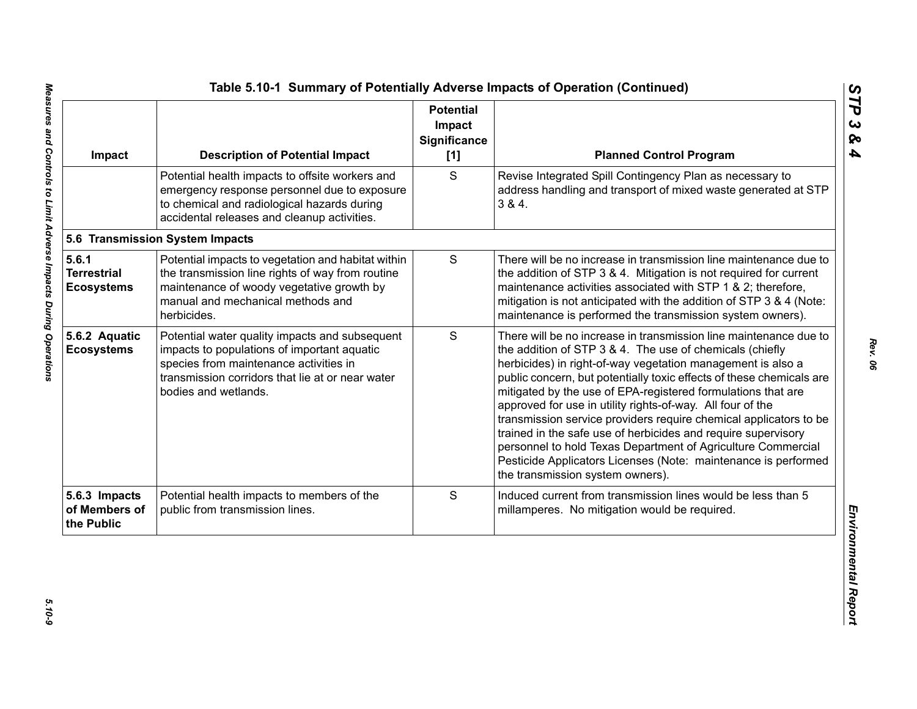| Impact                                           | <b>Description of Potential Impact</b>                                                                                                                                                                              | <b>Potential</b><br>Impact<br><b>Significance</b><br>[1] | <b>Planned Control Program</b>                                                                                                                                                                                                                                                                                                                                                                                                                                                                                                                                                                                                                                                                                 |
|--------------------------------------------------|---------------------------------------------------------------------------------------------------------------------------------------------------------------------------------------------------------------------|----------------------------------------------------------|----------------------------------------------------------------------------------------------------------------------------------------------------------------------------------------------------------------------------------------------------------------------------------------------------------------------------------------------------------------------------------------------------------------------------------------------------------------------------------------------------------------------------------------------------------------------------------------------------------------------------------------------------------------------------------------------------------------|
|                                                  | Potential health impacts to offsite workers and<br>emergency response personnel due to exposure<br>to chemical and radiological hazards during<br>accidental releases and cleanup activities.                       | S                                                        | Revise Integrated Spill Contingency Plan as necessary to<br>address handling and transport of mixed waste generated at STP<br>384.                                                                                                                                                                                                                                                                                                                                                                                                                                                                                                                                                                             |
|                                                  | 5.6 Transmission System Impacts                                                                                                                                                                                     |                                                          |                                                                                                                                                                                                                                                                                                                                                                                                                                                                                                                                                                                                                                                                                                                |
| 5.6.1<br><b>Terrestrial</b><br><b>Ecosystems</b> | Potential impacts to vegetation and habitat within<br>the transmission line rights of way from routine<br>maintenance of woody vegetative growth by<br>manual and mechanical methods and<br>herbicides.             | $\mathsf S$                                              | There will be no increase in transmission line maintenance due to<br>the addition of STP 3 & 4. Mitigation is not required for current<br>maintenance activities associated with STP 1 & 2; therefore,<br>mitigation is not anticipated with the addition of STP 3 & 4 (Note:<br>maintenance is performed the transmission system owners).                                                                                                                                                                                                                                                                                                                                                                     |
| 5.6.2 Aquatic<br><b>Ecosystems</b>               | Potential water quality impacts and subsequent<br>impacts to populations of important aquatic<br>species from maintenance activities in<br>transmission corridors that lie at or near water<br>bodies and wetlands. | S                                                        | There will be no increase in transmission line maintenance due to<br>the addition of STP 3 & 4. The use of chemicals (chiefly<br>herbicides) in right-of-way vegetation management is also a<br>public concern, but potentially toxic effects of these chemicals are<br>mitigated by the use of EPA-registered formulations that are<br>approved for use in utility rights-of-way. All four of the<br>transmission service providers require chemical applicators to be<br>trained in the safe use of herbicides and require supervisory<br>personnel to hold Texas Department of Agriculture Commercial<br>Pesticide Applicators Licenses (Note: maintenance is performed<br>the transmission system owners). |
| 5.6.3 Impacts<br>of Members of<br>the Public     | Potential health impacts to members of the<br>public from transmission lines.                                                                                                                                       | S                                                        | Induced current from transmission lines would be less than 5<br>millamperes. No mitigation would be required.                                                                                                                                                                                                                                                                                                                                                                                                                                                                                                                                                                                                  |

*STP 3 & 4*

*Rev. 06*

 $5.10 - 9$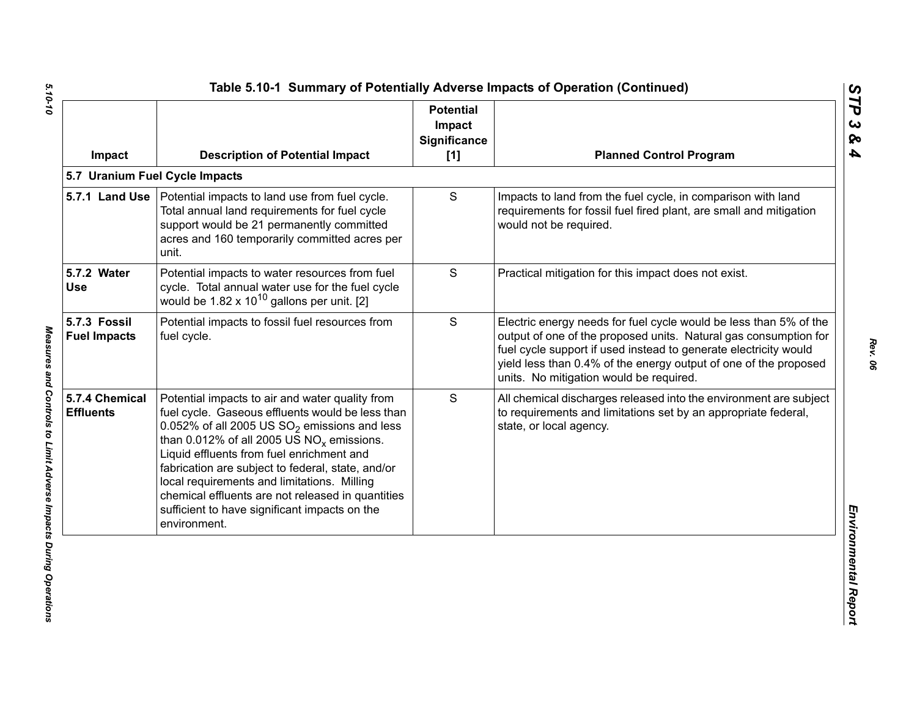| Impact                              | <b>Description of Potential Impact</b>                                                                                                                                                                                                                                                                                                                                                                                                                                        | <b>Potential</b><br>Impact<br><b>Significance</b><br>[1] | <b>Planned Control Program</b>                                                                                                                                                                                                                                                                                           |
|-------------------------------------|-------------------------------------------------------------------------------------------------------------------------------------------------------------------------------------------------------------------------------------------------------------------------------------------------------------------------------------------------------------------------------------------------------------------------------------------------------------------------------|----------------------------------------------------------|--------------------------------------------------------------------------------------------------------------------------------------------------------------------------------------------------------------------------------------------------------------------------------------------------------------------------|
|                                     | 5.7 Uranium Fuel Cycle Impacts                                                                                                                                                                                                                                                                                                                                                                                                                                                |                                                          |                                                                                                                                                                                                                                                                                                                          |
|                                     | 5.7.1 Land Use   Potential impacts to land use from fuel cycle.<br>Total annual land requirements for fuel cycle<br>support would be 21 permanently committed<br>acres and 160 temporarily committed acres per<br>unit.                                                                                                                                                                                                                                                       | S                                                        | Impacts to land from the fuel cycle, in comparison with land<br>requirements for fossil fuel fired plant, are small and mitigation<br>would not be required.                                                                                                                                                             |
| 5.7.2 Water<br><b>Use</b>           | Potential impacts to water resources from fuel<br>cycle. Total annual water use for the fuel cycle<br>would be $1.82 \times 10^{10}$ gallons per unit. [2]                                                                                                                                                                                                                                                                                                                    | S                                                        | Practical mitigation for this impact does not exist.                                                                                                                                                                                                                                                                     |
| 5.7.3 Fossil<br><b>Fuel Impacts</b> | Potential impacts to fossil fuel resources from<br>fuel cycle.                                                                                                                                                                                                                                                                                                                                                                                                                | $\mathsf{S}$                                             | Electric energy needs for fuel cycle would be less than 5% of the<br>output of one of the proposed units. Natural gas consumption for<br>fuel cycle support if used instead to generate electricity would<br>yield less than 0.4% of the energy output of one of the proposed<br>units. No mitigation would be required. |
| 5.7.4 Chemical<br><b>Effluents</b>  | Potential impacts to air and water quality from<br>fuel cycle. Gaseous effluents would be less than<br>0.052% of all 2005 US $SO_2$ emissions and less<br>than 0.012% of all 2005 US $NO_x$ emissions.<br>Liquid effluents from fuel enrichment and<br>fabrication are subject to federal, state, and/or<br>local requirements and limitations. Milling<br>chemical effluents are not released in quantities<br>sufficient to have significant impacts on the<br>environment. | S                                                        | All chemical discharges released into the environment are subject<br>to requirements and limitations set by an appropriate federal,<br>state, or local agency.                                                                                                                                                           |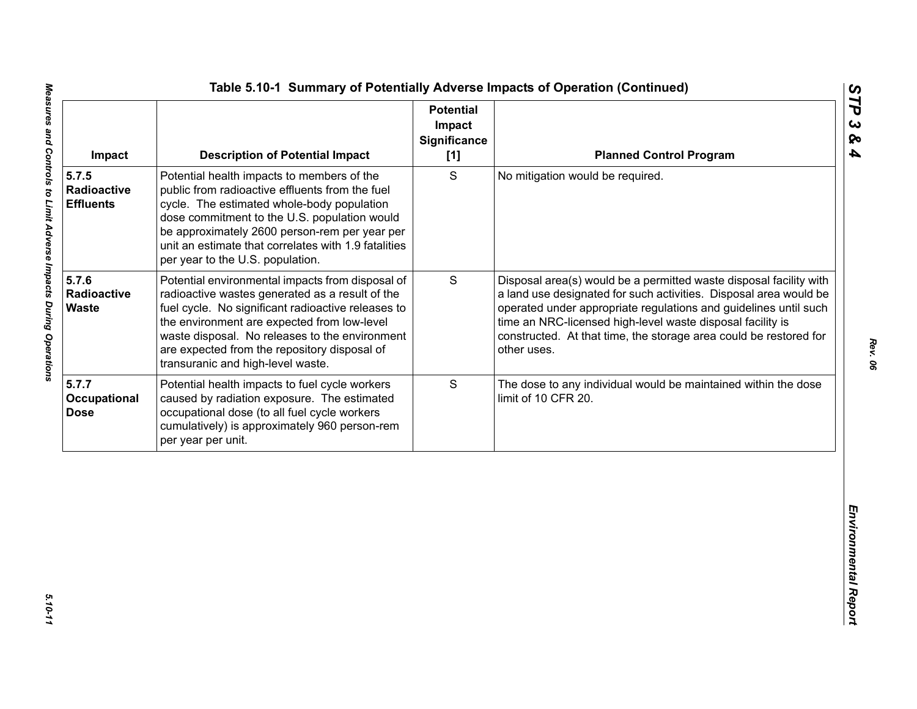| S<br>Potential health impacts to members of the<br>No mitigation would be required.<br>public from radioactive effluents from the fuel<br>Radioactive<br>cycle. The estimated whole-body population<br><b>Effluents</b><br>dose commitment to the U.S. population would<br>be approximately 2600 person-rem per year per<br>unit an estimate that correlates with 1.9 fatalities<br>per year to the U.S. population.<br>5.7.6<br>S<br>Potential environmental impacts from disposal of<br>Radioactive<br>radioactive wastes generated as a result of the<br><b>Waste</b><br>fuel cycle. No significant radioactive releases to<br>time an NRC-licensed high-level waste disposal facility is<br>the environment are expected from low-level<br>waste disposal. No releases to the environment<br>are expected from the repository disposal of<br>other uses.<br>transuranic and high-level waste.<br>S<br>Potential health impacts to fuel cycle workers<br>caused by radiation exposure. The estimated<br>limit of 10 CFR 20.<br>occupational dose (to all fuel cycle workers<br>cumulatively) is approximately 960 person-rem | Impact | <b>Description of Potential Impact</b> | <b>Potential</b><br>Impact<br><b>Significance</b><br>[1] | <b>Planned Control Program</b>                                                                                                                                                                                                                                                   |
|---------------------------------------------------------------------------------------------------------------------------------------------------------------------------------------------------------------------------------------------------------------------------------------------------------------------------------------------------------------------------------------------------------------------------------------------------------------------------------------------------------------------------------------------------------------------------------------------------------------------------------------------------------------------------------------------------------------------------------------------------------------------------------------------------------------------------------------------------------------------------------------------------------------------------------------------------------------------------------------------------------------------------------------------------------------------------------------------------------------------------------|--------|----------------------------------------|----------------------------------------------------------|----------------------------------------------------------------------------------------------------------------------------------------------------------------------------------------------------------------------------------------------------------------------------------|
|                                                                                                                                                                                                                                                                                                                                                                                                                                                                                                                                                                                                                                                                                                                                                                                                                                                                                                                                                                                                                                                                                                                                 | 5.7.5  |                                        |                                                          |                                                                                                                                                                                                                                                                                  |
| 5.7.7<br>Occupational<br><b>Dose</b>                                                                                                                                                                                                                                                                                                                                                                                                                                                                                                                                                                                                                                                                                                                                                                                                                                                                                                                                                                                                                                                                                            |        |                                        |                                                          | Disposal area(s) would be a permitted waste disposal facility with<br>a land use designated for such activities. Disposal area would be<br>operated under appropriate regulations and guidelines until such<br>constructed. At that time, the storage area could be restored for |
| per year per unit.                                                                                                                                                                                                                                                                                                                                                                                                                                                                                                                                                                                                                                                                                                                                                                                                                                                                                                                                                                                                                                                                                                              |        |                                        |                                                          | The dose to any individual would be maintained within the dose                                                                                                                                                                                                                   |
|                                                                                                                                                                                                                                                                                                                                                                                                                                                                                                                                                                                                                                                                                                                                                                                                                                                                                                                                                                                                                                                                                                                                 |        |                                        |                                                          |                                                                                                                                                                                                                                                                                  |

5.10-11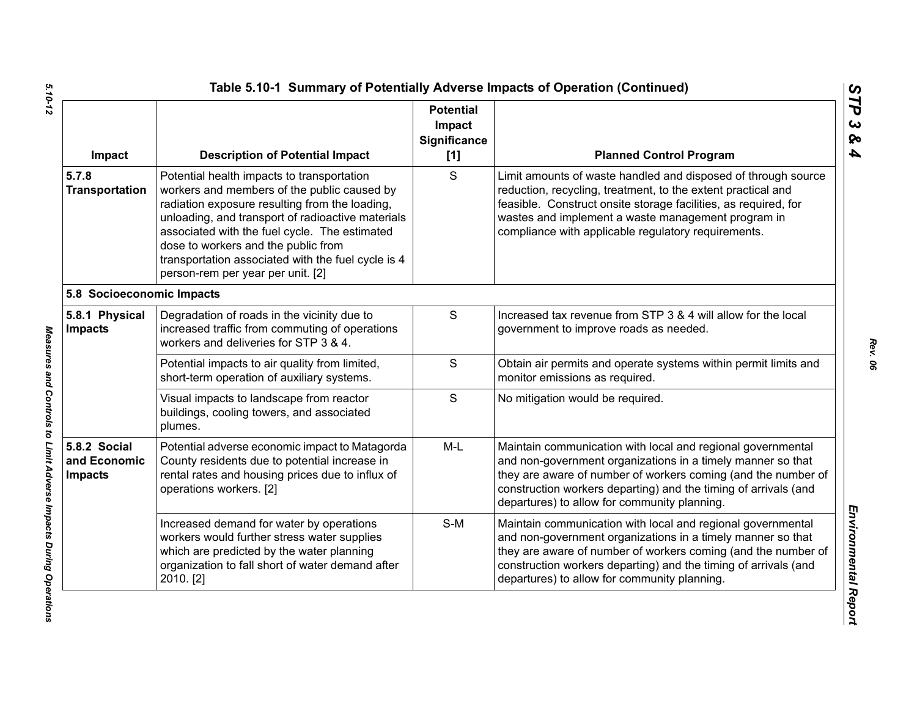| Impact                                         | <b>Description of Potential Impact</b>                                                                                                                                                                                                                                                                                                                                              | <b>Potential</b><br>Impact<br><b>Significance</b><br>[1] | <b>Planned Control Program</b>                                                                                                                                                                                                                                                                                 |
|------------------------------------------------|-------------------------------------------------------------------------------------------------------------------------------------------------------------------------------------------------------------------------------------------------------------------------------------------------------------------------------------------------------------------------------------|----------------------------------------------------------|----------------------------------------------------------------------------------------------------------------------------------------------------------------------------------------------------------------------------------------------------------------------------------------------------------------|
| 5.7.8<br><b>Transportation</b>                 | Potential health impacts to transportation<br>workers and members of the public caused by<br>radiation exposure resulting from the loading,<br>unloading, and transport of radioactive materials<br>associated with the fuel cycle. The estimated<br>dose to workers and the public from<br>transportation associated with the fuel cycle is 4<br>person-rem per year per unit. [2] | S                                                        | Limit amounts of waste handled and disposed of through source<br>reduction, recycling, treatment, to the extent practical and<br>feasible. Construct onsite storage facilities, as required, for<br>wastes and implement a waste management program in<br>compliance with applicable regulatory requirements.  |
| 5.8 Socioeconomic Impacts                      |                                                                                                                                                                                                                                                                                                                                                                                     |                                                          |                                                                                                                                                                                                                                                                                                                |
| 5.8.1 Physical<br><b>Impacts</b>               | Degradation of roads in the vicinity due to<br>increased traffic from commuting of operations<br>workers and deliveries for STP 3 & 4.                                                                                                                                                                                                                                              | ${\mathsf S}$                                            | Increased tax revenue from STP 3 & 4 will allow for the local<br>government to improve roads as needed.                                                                                                                                                                                                        |
|                                                | Potential impacts to air quality from limited,<br>short-term operation of auxiliary systems.                                                                                                                                                                                                                                                                                        | $\mathsf{S}$                                             | Obtain air permits and operate systems within permit limits and<br>monitor emissions as required.                                                                                                                                                                                                              |
|                                                | Visual impacts to landscape from reactor<br>buildings, cooling towers, and associated<br>plumes.                                                                                                                                                                                                                                                                                    | S                                                        | No mitigation would be required.                                                                                                                                                                                                                                                                               |
| 5.8.2 Social<br>and Economic<br><b>Impacts</b> | Potential adverse economic impact to Matagorda<br>County residents due to potential increase in<br>rental rates and housing prices due to influx of<br>operations workers. [2]                                                                                                                                                                                                      | $M-L$                                                    | Maintain communication with local and regional governmental<br>and non-government organizations in a timely manner so that<br>they are aware of number of workers coming (and the number of<br>construction workers departing) and the timing of arrivals (and<br>departures) to allow for community planning. |
|                                                | Increased demand for water by operations<br>workers would further stress water supplies<br>which are predicted by the water planning<br>organization to fall short of water demand after<br>2010. [2]                                                                                                                                                                               | $S-M$                                                    | Maintain communication with local and regional governmental<br>and non-government organizations in a timely manner so that<br>they are aware of number of workers coming (and the number of<br>construction workers departing) and the timing of arrivals (and<br>departures) to allow for community planning. |

Measures and Controls to Limit Adverse Impacts During Operations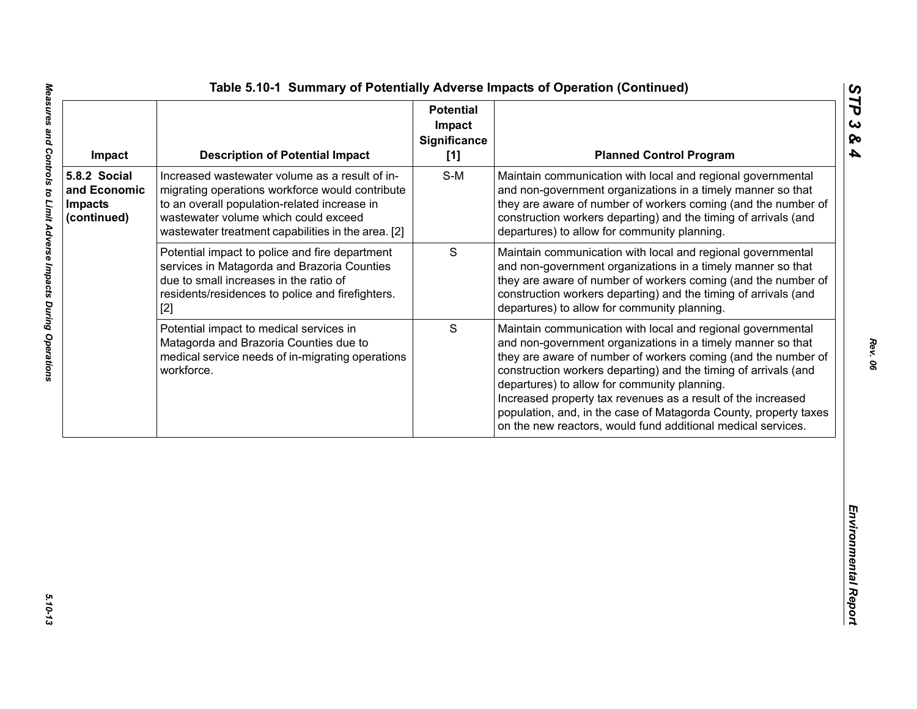| Impact                                                        | <b>Description of Potential Impact</b>                                                                                                                                                                                                          | <b>Potential</b><br>Impact<br><b>Significance</b><br>[1] | <b>Planned Control Program</b>                                                                                                                                                                                                                                                                                                                                                                                                                                                                                     |
|---------------------------------------------------------------|-------------------------------------------------------------------------------------------------------------------------------------------------------------------------------------------------------------------------------------------------|----------------------------------------------------------|--------------------------------------------------------------------------------------------------------------------------------------------------------------------------------------------------------------------------------------------------------------------------------------------------------------------------------------------------------------------------------------------------------------------------------------------------------------------------------------------------------------------|
| 5.8.2 Social<br>and Economic<br><b>Impacts</b><br>(continued) | Increased wastewater volume as a result of in-<br>migrating operations workforce would contribute<br>to an overall population-related increase in<br>wastewater volume which could exceed<br>wastewater treatment capabilities in the area. [2] | $S-M$                                                    | Maintain communication with local and regional governmental<br>and non-government organizations in a timely manner so that<br>they are aware of number of workers coming (and the number of<br>construction workers departing) and the timing of arrivals (and<br>departures) to allow for community planning.                                                                                                                                                                                                     |
|                                                               | Potential impact to police and fire department<br>services in Matagorda and Brazoria Counties<br>due to small increases in the ratio of<br>residents/residences to police and firefighters.<br>$[2]$                                            | $\mathbf S$                                              | Maintain communication with local and regional governmental<br>and non-government organizations in a timely manner so that<br>they are aware of number of workers coming (and the number of<br>construction workers departing) and the timing of arrivals (and<br>departures) to allow for community planning.                                                                                                                                                                                                     |
|                                                               | Potential impact to medical services in<br>Matagorda and Brazoria Counties due to<br>medical service needs of in-migrating operations<br>workforce.                                                                                             | S                                                        | Maintain communication with local and regional governmental<br>and non-government organizations in a timely manner so that<br>they are aware of number of workers coming (and the number of<br>construction workers departing) and the timing of arrivals (and<br>departures) to allow for community planning.<br>Increased property tax revenues as a result of the increased<br>population, and, in the case of Matagorda County, property taxes<br>on the new reactors, would fund additional medical services. |
|                                                               |                                                                                                                                                                                                                                                 |                                                          |                                                                                                                                                                                                                                                                                                                                                                                                                                                                                                                    |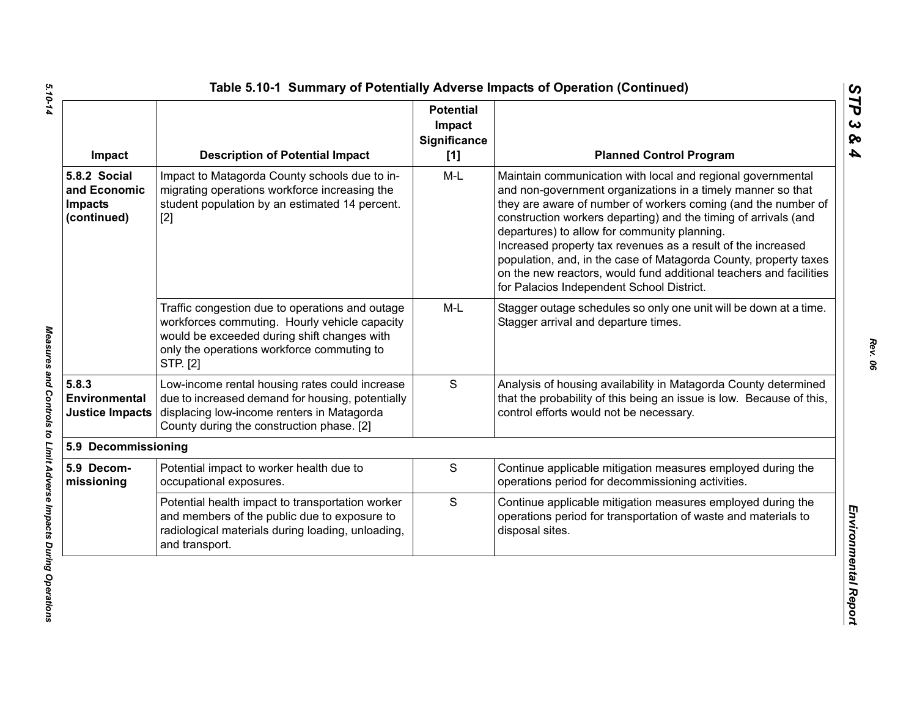| Impact                                                        | <b>Description of Potential Impact</b>                                                                                                                                                                    | <b>Potential</b><br>Impact<br>Significance<br>[1] | <b>Planned Control Program</b>                                                                                                                                                                                                                                                                                                                                                                                                                                                                                                                                        |
|---------------------------------------------------------------|-----------------------------------------------------------------------------------------------------------------------------------------------------------------------------------------------------------|---------------------------------------------------|-----------------------------------------------------------------------------------------------------------------------------------------------------------------------------------------------------------------------------------------------------------------------------------------------------------------------------------------------------------------------------------------------------------------------------------------------------------------------------------------------------------------------------------------------------------------------|
| 5.8.2 Social<br>and Economic<br><b>Impacts</b><br>(continued) | Impact to Matagorda County schools due to in-<br>migrating operations workforce increasing the<br>student population by an estimated 14 percent.<br>$[2]$                                                 | M-L                                               | Maintain communication with local and regional governmental<br>and non-government organizations in a timely manner so that<br>they are aware of number of workers coming (and the number of<br>construction workers departing) and the timing of arrivals (and<br>departures) to allow for community planning.<br>Increased property tax revenues as a result of the increased<br>population, and, in the case of Matagorda County, property taxes<br>on the new reactors, would fund additional teachers and facilities<br>for Palacios Independent School District. |
|                                                               | Traffic congestion due to operations and outage<br>workforces commuting. Hourly vehicle capacity<br>would be exceeded during shift changes with<br>only the operations workforce commuting to<br>STP. [2] | $M-L$                                             | Stagger outage schedules so only one unit will be down at a time.<br>Stagger arrival and departure times.                                                                                                                                                                                                                                                                                                                                                                                                                                                             |
| 5.8.3<br>Environmental<br><b>Justice Impacts</b>              | Low-income rental housing rates could increase<br>due to increased demand for housing, potentially<br>displacing low-income renters in Matagorda<br>County during the construction phase. [2]             | S                                                 | Analysis of housing availability in Matagorda County determined<br>that the probability of this being an issue is low. Because of this,<br>control efforts would not be necessary.                                                                                                                                                                                                                                                                                                                                                                                    |
| 5.9 Decommissioning                                           |                                                                                                                                                                                                           |                                                   |                                                                                                                                                                                                                                                                                                                                                                                                                                                                                                                                                                       |
| 5.9 Decom-<br>missioning                                      | Potential impact to worker health due to<br>occupational exposures.                                                                                                                                       | S                                                 | Continue applicable mitigation measures employed during the<br>operations period for decommissioning activities.                                                                                                                                                                                                                                                                                                                                                                                                                                                      |
|                                                               | Potential health impact to transportation worker<br>and members of the public due to exposure to<br>radiological materials during loading, unloading,<br>and transport.                                   | S                                                 | Continue applicable mitigation measures employed during the<br>operations period for transportation of waste and materials to<br>disposal sites.                                                                                                                                                                                                                                                                                                                                                                                                                      |

5.10-14

*Rev. 06*